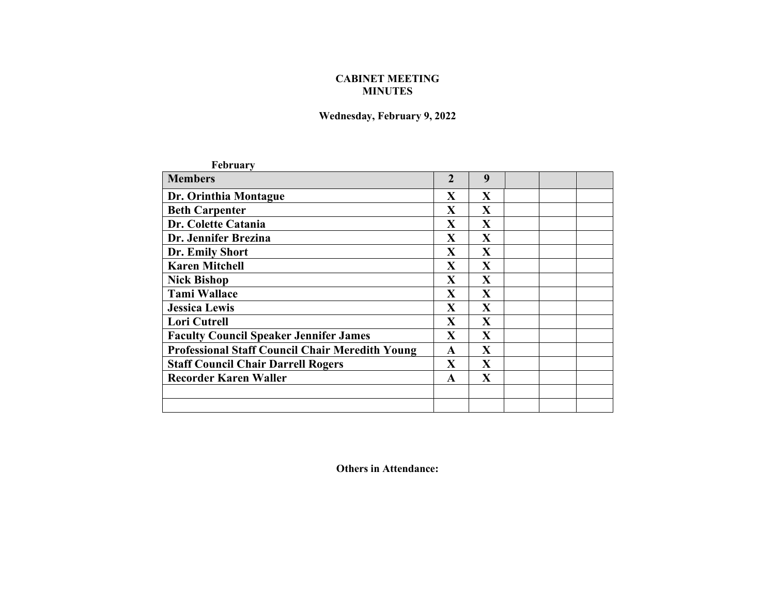## **CABINET MEETING MINUTES**

## **Wednesday, February 9, 2022**

| <b>February</b>                                        |                         |              |  |  |
|--------------------------------------------------------|-------------------------|--------------|--|--|
| <b>Members</b>                                         | $\overline{2}$          | 9            |  |  |
| Dr. Orinthia Montague                                  | X                       | X            |  |  |
| <b>Beth Carpenter</b>                                  | X                       | X            |  |  |
| Dr. Colette Catania                                    | X                       | X            |  |  |
| Dr. Jennifer Brezina                                   | X                       | X            |  |  |
| Dr. Emily Short                                        | $\mathbf X$             | $\mathbf{X}$ |  |  |
| <b>Karen Mitchell</b>                                  | $\mathbf X$             | $\mathbf{X}$ |  |  |
| <b>Nick Bishop</b>                                     | $\overline{\mathbf{X}}$ | $\mathbf{X}$ |  |  |
| <b>Tami Wallace</b>                                    | $\mathbf X$             | X            |  |  |
| <b>Jessica Lewis</b>                                   | X                       | $\mathbf{X}$ |  |  |
| <b>Lori Cutrell</b>                                    | X                       | $\mathbf{X}$ |  |  |
| <b>Faculty Council Speaker Jennifer James</b>          | X                       | X            |  |  |
| <b>Professional Staff Council Chair Meredith Young</b> | $\mathbf{A}$            | X            |  |  |
| <b>Staff Council Chair Darrell Rogers</b>              | $\mathbf{X}$            | X            |  |  |
| <b>Recorder Karen Waller</b>                           | A                       | X            |  |  |
|                                                        |                         |              |  |  |
|                                                        |                         |              |  |  |

**Others in Attendance:**